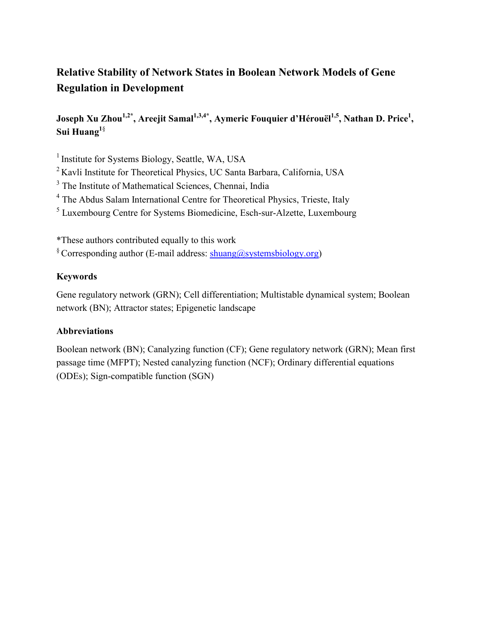# **Relative Stability of Network States in Boolean Network Models of Gene Regulation in Development**

Joseph Xu Zhou<sup>1,2\*</sup>, Areejit Samal<sup>1,3,4\*</sup>, Aymeric Fouquier d'Hérouël<sup>1,5</sup>, Nathan D. Price<sup>1</sup>, **Sui Huang1**§

<sup>1</sup> Institute for Systems Biology, Seattle, WA, USA

2 Kavli Institute for Theoretical Physics, UC Santa Barbara, California, USA

<sup>3</sup> The Institute of Mathematical Sciences, Chennai, India

<sup>4</sup> The Abdus Salam International Centre for Theoretical Physics, Trieste, Italy

<sup>5</sup> Luxembourg Centre for Systems Biomedicine, Esch-sur-Alzette, Luxembourg

\*These authors contributed equally to this work

 $\frac{\sqrt{8}}{2}$  Corresponding author (E-mail address: [shuang@systemsbiology.org\)](mailto:shuang@systemsbiology.org)

# **Keywords**

Gene regulatory network (GRN); Cell differentiation; Multistable dynamical system; Boolean network (BN); Attractor states; Epigenetic landscape

# **Abbreviations**

Boolean network (BN); Canalyzing function (CF); Gene regulatory network (GRN); Mean first passage time (MFPT); Nested canalyzing function (NCF); Ordinary differential equations (ODEs); Sign-compatible function (SGN)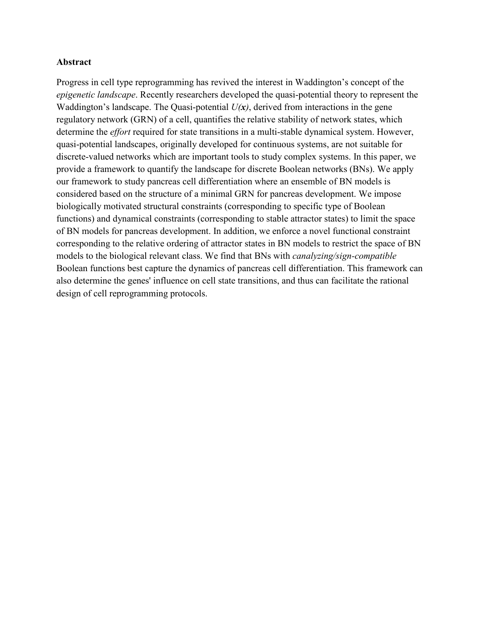#### **Abstract**

Progress in cell type reprogramming has revived the interest in Waddington's concept of the *epigenetic landscape*. Recently researchers developed the quasi-potential theory to represent the Waddington's landscape. The Quasi-potential *U(x)*, derived from interactions in the gene regulatory network (GRN) of a cell, quantifies the relative stability of network states, which determine the *effort* required for state transitions in a multi-stable dynamical system. However, quasi-potential landscapes, originally developed for continuous systems, are not suitable for discrete-valued networks which are important tools to study complex systems. In this paper, we provide a framework to quantify the landscape for discrete Boolean networks (BNs). We apply our framework to study pancreas cell differentiation where an ensemble of BN models is considered based on the structure of a minimal GRN for pancreas development. We impose biologically motivated structural constraints (corresponding to specific type of Boolean functions) and dynamical constraints (corresponding to stable attractor states) to limit the space of BN models for pancreas development. In addition, we enforce a novel functional constraint corresponding to the relative ordering of attractor states in BN models to restrict the space of BN models to the biological relevant class. We find that BNs with *canalyzing/sign-compatible*  Boolean functions best capture the dynamics of pancreas cell differentiation. This framework can also determine the genes' influence on cell state transitions, and thus can facilitate the rational design of cell reprogramming protocols.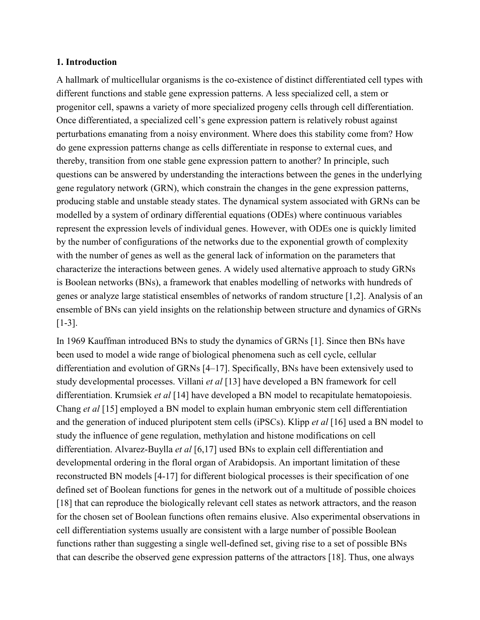#### **1. Introduction**

A hallmark of multicellular organisms is the co-existence of distinct differentiated cell types with different functions and stable gene expression patterns. A less specialized cell, a stem or progenitor cell, spawns a variety of more specialized progeny cells through cell differentiation. Once differentiated, a specialized cell's gene expression pattern is relatively robust against perturbations emanating from a noisy environment. Where does this stability come from? How do gene expression patterns change as cells differentiate in response to external cues, and thereby, transition from one stable gene expression pattern to another? In principle, such questions can be answered by understanding the interactions between the genes in the underlying gene regulatory network (GRN), which constrain the changes in the gene expression patterns, producing stable and unstable steady states. The dynamical system associated with GRNs can be modelled by a system of ordinary differential equations (ODEs) where continuous variables represent the expression levels of individual genes. However, with ODEs one is quickly limited by the number of configurations of the networks due to the exponential growth of complexity with the number of genes as well as the general lack of information on the parameters that characterize the interactions between genes. A widely used alternative approach to study GRNs is Boolean networks (BNs), a framework that enables modelling of networks with hundreds of genes or analyze large statistical ensembles of networks of random structure [1,2]. Analysis of an ensemble of BNs can yield insights on the relationship between structure and dynamics of GRNs [1-3].

In 1969 Kauffman introduced BNs to study the dynamics of GRNs [1]. Since then BNs have been used to model a wide range of biological phenomena such as cell cycle, cellular differentiation and evolution of GRNs [4–17]. Specifically, BNs have been extensively used to study developmental processes. Villani *et al* [13] have developed a BN framework for cell differentiation. Krumsiek *et al* [14] have developed a BN model to recapitulate hematopoiesis. Chang *et al* [15] employed a BN model to explain human embryonic stem cell differentiation and the generation of induced pluripotent stem cells (iPSCs). Klipp *et al* [16] used a BN model to study the influence of gene regulation, methylation and histone modifications on cell differentiation. Alvarez-Buylla *et al* [6,17] used BNs to explain cell differentiation and developmental ordering in the floral organ of Arabidopsis. An important limitation of these reconstructed BN models [4-17] for different biological processes is their specification of one defined set of Boolean functions for genes in the network out of a multitude of possible choices [18] that can reproduce the biologically relevant cell states as network attractors, and the reason for the chosen set of Boolean functions often remains elusive. Also experimental observations in cell differentiation systems usually are consistent with a large number of possible Boolean functions rather than suggesting a single well-defined set, giving rise to a set of possible BNs that can describe the observed gene expression patterns of the attractors [18]. Thus, one always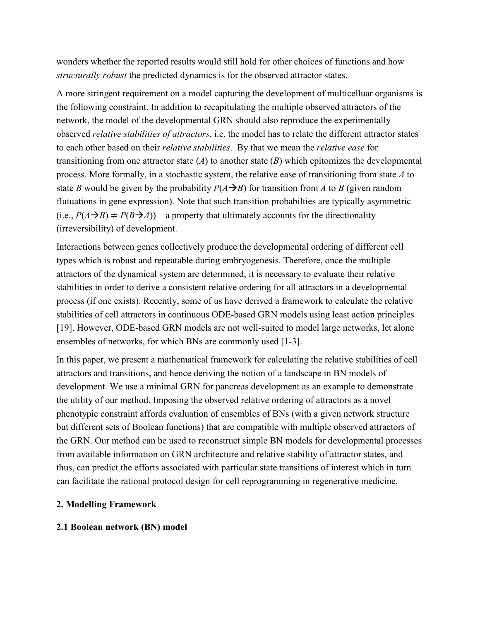wonders whether the reported results would still hold for other choices of functions and how *structurally robust* the predicted dynamics is for the observed attractor states.

A more stringent requirement on a model capturing the development of multicelluar organisms is the following constraint. In addition to recapitulating the multiple observed attractors of the network, the model of the developmental GRN should also reproduce the experimentally observed *relative stabilities of attractors*, i.e, the model has to relate the different attractor states to each other based on their *relative stabilities*. By that we mean the *relative ease* for transitioning from one attractor state  $(A)$  to another state  $(B)$  which epitomizes the developmental process. More formally, in a stochastic system, the relative ease of transitioning from state *A* to state *B* would be given by the probability  $P(A \rightarrow B)$  for transition from *A* to *B* (given random flutuations in gene expression). Note that such transition probabilties are typically asymmetric  $(i.e., P(A \rightarrow B) \neq P(B \rightarrow A))$  – a property that ultimately accounts for the directionality (irreversibility) of development.

Interactions between genes collectively produce the developmental ordering of different cell types which is robust and repeatable during embryogenesis. Therefore, once the multiple attractors of the dynamical system are determined, it is necessary to evaluate their relative stabilities in order to derive a consistent relative ordering for all attractors in a developmental process (if one exists). Recently, some of us have derived a framework to calculate the relative stabilities of cell attractors in continuous ODE-based GRN models using least action principles [19]. However, ODE-based GRN models are not well-suited to model large networks, let alone ensembles of networks, for which BNs are commonly used [1-3].

In this paper, we present a mathematical framework for calculating the relative stabilities of cell attractors and transitions, and hence deriving the notion of a landscape in BN models of development. We use a minimal GRN for pancreas development as an example to demonstrate the utility of our method. Imposing the observed relative ordering of attractors as a novel phenotypic constraint affords evaluation of ensembles of BNs (with a given network structure but different sets of Boolean functions) that are compatible with multiple observed attractors of the GRN. Our method can be used to reconstruct simple BN models for developmental processes from available information on GRN architecture and relative stability of attractor states, and thus, can predict the efforts associated with particular state transitions of interest which in turn can facilitate the rational protocol design for cell reprogramming in regenerative medicine.

### **2. Modelling Framework**

#### **2.1 Boolean network (BN) model**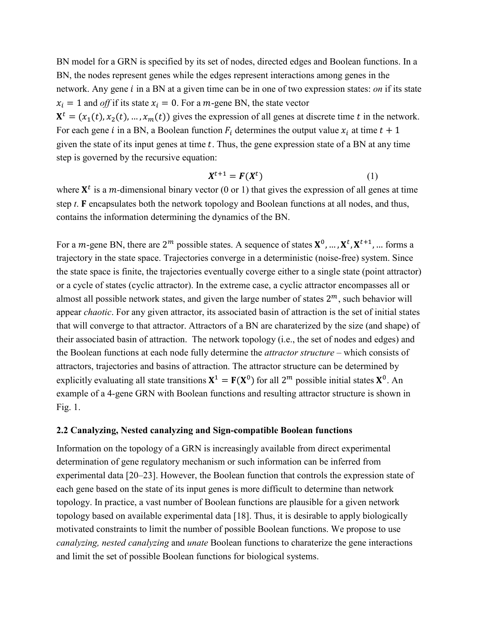BN model for a GRN is specified by its set of nodes, directed edges and Boolean functions. In a BN, the nodes represent genes while the edges represent interactions among genes in the network. Any gene *i* in a BN at a given time can be in one of two expression states: *on* if its state  $x_i = 1$  and *off* if its state  $x_i = 0$ . For a *m*-gene BN, the state vector  $X^t = (x_1(t), x_2(t), ..., x_m(t))$  gives the expression of all genes at discrete time t in the network. For each gene *i* in a BN, a Boolean function  $F_i$  determines the output value  $x_i$  at time  $t + 1$ given the state of its input genes at time  $t$ . Thus, the gene expression state of a BN at any time step is governed by the recursive equation:

$$
X^{t+1} = F(X^t) \tag{1}
$$

where  $X^t$  is a *m*-dimensional binary vector (0 or 1) that gives the expression of all genes at time step  $t$ .  $\bf{F}$  encapsulates both the network topology and Boolean functions at all nodes, and thus, contains the information determining the dynamics of the BN.

For a *m*-gene BN, there are  $2^m$  possible states. A sequence of states  $X^0$ , ...,  $X^t$ ,  $X^{t+1}$ , ... forms a trajectory in the state space. Trajectories converge in a deterministic (noise-free) system. Since the state space is finite, the trajectories eventually coverge either to a single state (point attractor) or a cycle of states (cyclic attractor). In the extreme case, a cyclic attractor encompasses all or almost all possible network states, and given the large number of states  $2^m$ , such behavior will appear *chaotic*. For any given attractor, its associated basin of attraction is the set of initial states that will converge to that attractor. Attractors of a BN are charaterized by the size (and shape) of their associated basin of attraction. The network topology (i.e., the set of nodes and edges) and the Boolean functions at each node fully determine the *attractor structure* – which consists of attractors, trajectories and basins of attraction. The attractor structure can be determined by explicitly evaluating all state transitions  $X^1 = F(X^0)$  for all  $2^m$  possible initial states  $X^0$ . An example of a 4-gene GRN with Boolean functions and resulting attractor structure is shown in Fig. 1.

#### **2.2 Canalyzing, Nested canalyzing and Sign-compatible Boolean functions**

Information on the topology of a GRN is increasingly available from direct experimental determination of gene regulatory mechanism or such information can be inferred from experimental data [20–23]. However, the Boolean function that controls the expression state of each gene based on the state of its input genes is more difficult to determine than network topology. In practice, a vast number of Boolean functions are plausible for a given network topology based on available experimental data [18]. Thus, it is desirable to apply biologically motivated constraints to limit the number of possible Boolean functions. We propose to use *canalyzing, nested canalyzing* and *unate* Boolean functions to charaterize the gene interactions and limit the set of possible Boolean functions for biological systems.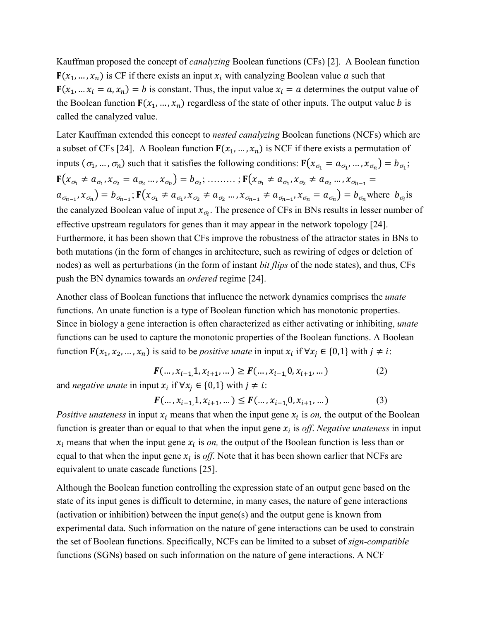Kauffman proposed the concept of *canalyzing* Boolean functions (CFs) [2]. A Boolean function  $F(x_1, ..., x_n)$  is CF if there exists an input  $x_i$  with canalyzing Boolean value  $\alpha$  such that  $\mathbf{F}(x_1, \dots, x_i = a, x_n) = b$  is constant. Thus, the input value  $x_i = a$  determines the output value of the Boolean function  $F(x_1, ..., x_n)$  regardless of the state of other inputs. The output value *b* is called the canalyzed value.

Later Kauffman extended this concept to *nested canalyzing* Boolean functions (NCFs) which are a subset of CFs [24]. A Boolean function  $F(x_1, ..., x_n)$  is NCF if there exists a permutation of inputs  $(\sigma_1, ..., \sigma_n)$  such that it satisfies the following conditions:  $\mathbf{F}(x_{\sigma_1} = a_{\sigma_1}, ..., x_{\sigma_n}) = b_{\sigma_1}$ ;  ${\bf F}(x_{\sigma_1} \neq a_{\sigma_1}, x_{\sigma_2} = a_{\sigma_2} ..., x_{\sigma_n}) = b_{\sigma_2}; \dots \dots \dots; {\bf F}(x_{\sigma_1} \neq a_{\sigma_1}, x_{\sigma_2} \neq a_{\sigma_2} ..., x_{\sigma_{n-1}} =$  $a_{\sigma_{n-1}}$ ,  $x_{\sigma_n}$ ) =  $b_{\sigma_{n-1}}$ ;  $\mathbf{F}(x_{\sigma_1} \neq a_{\sigma_1}, x_{\sigma_2} \neq a_{\sigma_2} ... , x_{\sigma_{n-1}} \neq a_{\sigma_{n-1}}, x_{\sigma_n} = a_{\sigma_n}$ ) =  $b_{\sigma_n}$  where  $b_{\sigma_n}$  is the canalyzed Boolean value of input  $x_{\sigma_i}$ . The presence of CFs in BNs results in lesser number of effective upstream regulators for genes than it may appear in the network topology [24]. Furthermore, it has been shown that CFs improve the robustness of the attractor states in BNs to both mutations (in the form of changes in architecture, such as rewiring of edges or deletion of nodes) as well as perturbations (in the form of instant *bit flips* of the node states), and thus, CFs push the BN dynamics towards an *ordered* regime [24].

Another class of Boolean functions that influence the network dynamics comprises the *unate*  functions. An unate function is a type of Boolean function which has monotonic properties. Since in biology a gene interaction is often characterized as either activating or inhibiting, *unate* functions can be used to capture the monotonic properties of the Boolean functions. A Boolean function  $\mathbf{F}(x_1, x_2, ..., x_n)$  is said to be *positive unate* in input  $x_i$  if  $\forall x_i \in \{0,1\}$  with  $j \neq i$ :

$$
F(\dots, x_{i-1}, 1, x_{i+1}, \dots) \ge F(\dots, x_{i-1}, 0, x_{i+1}, \dots)
$$
\nand *negative unate* in input  $x_i$  if  $\forall x_i \in \{0, 1\}$  with  $j \ne i$ : (2)

$$
F(\ldots, x_{i-1}, 1, x_{i+1}, \ldots) \le F(\ldots, x_{i-1}, 0, x_{i+1}, \ldots)
$$
 (3)

*Positive unateness* in input  $x_i$  means that when the input gene  $x_i$  is *on*, the output of the Boolean function is greater than or equal to that when the input gene  $x_i$  is *off. Negative unateness* in input  $x_i$  means that when the input gene  $x_i$  is *on*, the output of the Boolean function is less than or equal to that when the input gene  $x_i$  is *off*. Note that it has been shown earlier that NCFs are equivalent to unate cascade functions [25].

Although the Boolean function controlling the expression state of an output gene based on the state of its input genes is difficult to determine, in many cases, the nature of gene interactions (activation or inhibition) between the input gene $(s)$  and the output gene is known from experimental data. Such information on the nature of gene interactions can be used to constrain the set of Boolean functions. Specifically, NCFs can be limited to a subset of *sign-compatible* functions (SGNs) based on such information on the nature of gene interactions. A NCF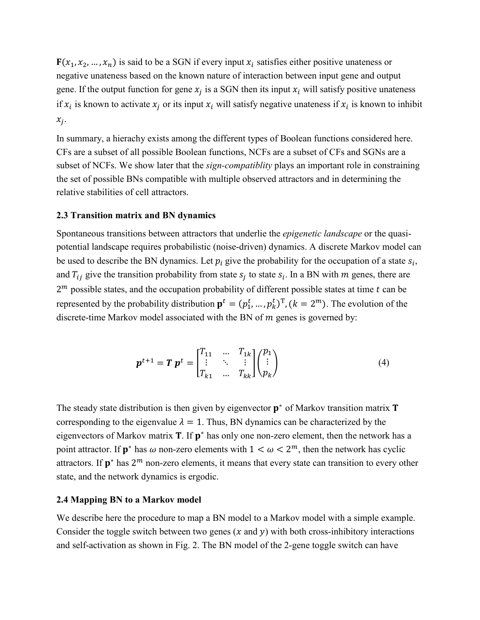${\bf F}(x_1, x_2, ..., x_n)$  is said to be a SGN if every input  $x_i$  satisfies either positive unateness or negative unateness based on the known nature of interaction between input gene and output gene. If the output function for gene  $x_i$  is a SGN then its input  $x_i$  will satisfy positive unateness if  $x_i$  is known to activate  $x_i$  or its input  $x_i$  will satisfy negative unateness if  $x_i$  is known to inhibit  $x_i$ .

In summary, a hierachy exists among the different types of Boolean functions considered here. CFs are a subset of all possible Boolean functions, NCFs are a subset of CFs and SGNs are a subset of NCFs. We show later that the *sign-compatiblity* plays an important role in constraining the set of possible BNs compatible with multiple observed attractors and in determining the relative stabilities of cell attractors.

#### **2.3 Transition matrix and BN dynamics**

Spontaneous transitions between attractors that underlie the *epigenetic landscape* or the quasipotential landscape requires probabilistic (noise-driven) dynamics. A discrete Markov model can be used to describe the BN dynamics. Let  $p_i$  give the probability for the occupation of a state  $s_i$ , and  $T_{ij}$  give the transition probability from state  $s_i$  to state  $s_i$ . In a BN with m genes, there are  $2<sup>m</sup>$  possible states, and the occupation probability of different possible states at time  $t$  can be represented by the probability distribution  $\mathbf{p}^t = (p_1^t, ..., p_k^t)^T$ ,  $(k = 2^m)$ . The evolution of the discrete-time Markov model associated with the BN of  $m$  genes is governed by:

$$
\boldsymbol{p}^{t+1} = \boldsymbol{T} \, \boldsymbol{p}^t = \begin{bmatrix} T_{11} & \dots & T_{1k} \\ \vdots & \ddots & \vdots \\ T_{k1} & \dots & T_{kk} \end{bmatrix} \begin{pmatrix} p_1 \\ \vdots \\ p_k \end{pmatrix} \tag{4}
$$

The steady state distribution is then given by eigenvector  $p^*$  of Markov transition matrix **T** corresponding to the eigenvalue  $\lambda = 1$ . Thus, BN dynamics can be characterized by the eigenvectors of Markov matrix  $T$ . If  $p^*$  has only one non-zero element, then the network has a point attractor. If  $\mathbf{p}^*$  has  $\omega$  non-zero elements with  $1 < \omega < 2^m$ , then the network has cyclic attractors. If  $\mathbf{p}^*$  has  $2^m$  non-zero elements, it means that every state can transition to every other state, and the network dynamics is ergodic.

#### **2.4 Mapping BN to a Markov model**

We describe here the procedure to map a BN model to a Markov model with a simple example. Consider the toggle switch between two genes  $(x$  and  $y)$  with both cross-inhibitory interactions and self-activation as shown in Fig. 2. The BN model of the 2-gene toggle switch can have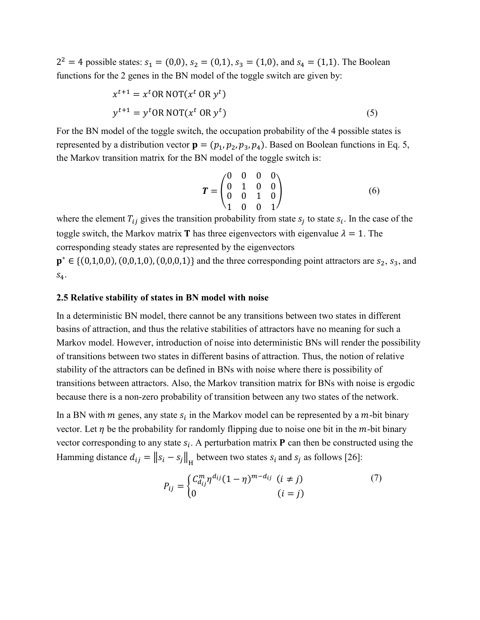$2^2 = 4$  possible states:  $s_1 = (0,0)$ ,  $s_2 = (0,1)$ ,  $s_3 = (1,0)$ , and  $s_4 = (1,1)$ . The Boolean functions for the 2 genes in the BN model of the toggle switch are given by:

$$
x^{t+1} = x^t \text{OR NOT}(x^t \text{ OR } y^t)
$$
  

$$
y^{t+1} = y^t \text{OR NOT}(x^t \text{ OR } y^t)
$$
 (5)

For the BN model of the toggle switch, the occupation probability of the 4 possible states is represented by a distribution vector  $\mathbf{p} = (p_1, p_2, p_3, p_4)$ . Based on Boolean functions in Eq. 5, the Markov transition matrix for the BN model of the toggle switch is:

$$
T = \begin{pmatrix} 0 & 0 & 0 & 0 \\ 0 & 1 & 0 & 0 \\ 0 & 0 & 1 & 0 \\ 1 & 0 & 0 & 1 \end{pmatrix}
$$
 (6)

where the element  $T_{ij}$  gives the transition probability from state  $s_j$  to state  $s_i$ . In the case of the toggle switch, the Markov matrix **T** has three eigenvectors with eigenvalue  $\lambda = 1$ . The corresponding steady states are represented by the eigenvectors

 $\mathbf{p}^* \in \{(0,1,0,0), (0,0,1,0), (0,0,0,1)\}\$ and the three corresponding point attractors are  $s_2, s_3$ , and  $S_4$ .

#### **2.5 Relative stability of states in BN model with noise**

In a deterministic BN model, there cannot be any transitions between two states in different basins of attraction, and thus the relative stabilities of attractors have no meaning for such a Markov model. However, introduction of noise into deterministic BNs will render the possibility of transitions between two states in different basins of attraction. Thus, the notion of relative stability of the attractors can be defined in BNs with noise where there is possibility of transitions between attractors. Also, the Markov transition matrix for BNs with noise is ergodic because there is a non-zero probability of transition between any two states of the network.

In a BN with  $m$  genes, any state  $s_i$  in the Markov model can be represented by a  $m$ -bit binary vector. Let  $\eta$  be the probability for randomly flipping due to noise one bit in the  $m$ -bit binary vector corresponding to any state  $s_i$ . A perturbation matrix **P** can then be constructed using the Hamming distance  $d_{ij} = ||s_i - s_j||_{\text{H}}$  between two states  $s_i$  and  $s_j$  as follows [26]:

$$
P_{ij} = \begin{cases} C_{d_{ij}}^m \eta^{d_{ij}} (1 - \eta)^{m - d_{ij}} & (i \neq j) \\ 0 & (i = j) \end{cases}
$$
(7)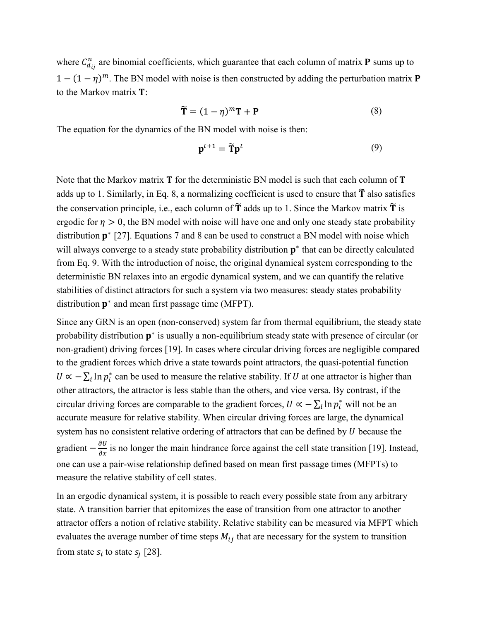where  $C_{d_{ij}}^n$  are binomial coefficients, which guarantee that each column of matrix **P** sums up to  $1 - (1 - \eta)^m$ . The BN model with noise is then constructed by adding the perturbation matrix **P** to the Markov matrix  $T$ :

$$
\widetilde{\mathbf{T}} = (1 - \eta)^m \mathbf{T} + \mathbf{P}
$$
 (8)

The equation for the dynamics of the BN model with noise is then:

$$
\mathbf{p}^{t+1} = \widetilde{\mathbf{T}} \mathbf{p}^t \tag{9}
$$

Note that the Markov matrix  $T$  for the deterministic BN model is such that each column of  $T$ adds up to 1. Similarly, in Eq. 8, a normalizing coefficient is used to ensure that  $\tilde{\mathbf{T}}$  also satisfies the conservation principle, i.e., each column of  $\tilde{\mathbf{T}}$  adds up to 1. Since the Markov matrix  $\tilde{\mathbf{T}}$  is ergodic for  $\eta > 0$ , the BN model with noise will have one and only one steady state probability distribution  $\mathbf{p}^*$  [27]. Equations 7 and 8 can be used to construct a BN model with noise which will always converge to a steady state probability distribution  $p^*$  that can be directly calculated from Eq. 9. With the introduction of noise, the original dynamical system corresponding to the deterministic BN relaxes into an ergodic dynamical system, and we can quantify the relative stabilities of distinct attractors for such a system via two measures: steady states probability distribution  $\mathbf{p}^*$  and mean first passage time (MFPT).

Since any GRN is an open (non-conserved) system far from thermal equilibrium, the steady state probability distribution  $p^*$  is usually a non-equilibrium steady state with presence of circular (or non-gradient) driving forces [19]. In cases where circular driving forces are negligible compared to the gradient forces which drive a state towards point attractors, the quasi-potential function  $U \propto -\sum_i \ln p_i^*$  can be used to measure the relative stability. If U at one attractor is higher than other attractors, the attractor is less stable than the others, and vice versa. By contrast, if the circular driving forces are comparable to the gradient forces,  $U \propto -\sum_i \ln p_i^*$  will not be an accurate measure for relative stability. When circular driving forces are large, the dynamical system has no consistent relative ordering of attractors that can be defined by  $U$  because the gradient  $-\frac{\partial U}{\partial x}$  is no longer the main hindrance force against the cell state transition [19]. Instead, one can use a pair-wise relationship defined based on mean first passage times (MFPTs) to measure the relative stability of cell states.

In an ergodic dynamical system, it is possible to reach every possible state from any arbitrary state. A transition barrier that epitomizes the ease of transition from one attractor to another attractor offers a notion of relative stability. Relative stability can be measured via MFPT which evaluates the average number of time steps  $M_{ij}$  that are necessary for the system to transition from state  $s_i$  to state  $s_i$  [28].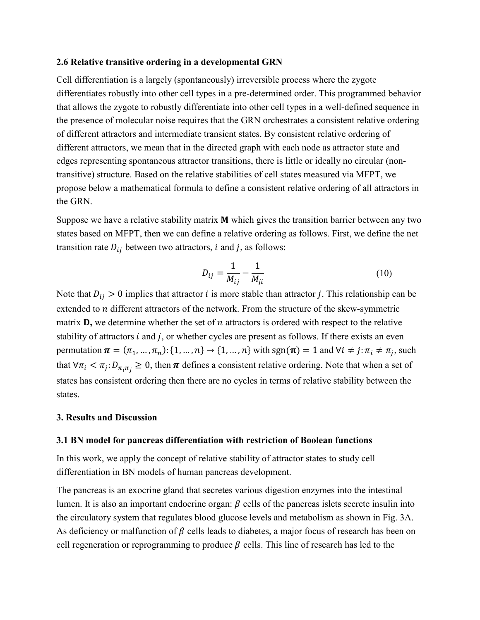#### **2.6 Relative transitive ordering in a developmental GRN**

Cell differentiation is a largely (spontaneously) irreversible process where the zygote differentiates robustly into other cell types in a pre-determined order. This programmed behavior that allows the zygote to robustly differentiate into other cell types in a well-defined sequence in the presence of molecular noise requires that the GRN orchestrates a consistent relative ordering of different attractors and intermediate transient states. By consistent relative ordering of different attractors, we mean that in the directed graph with each node as attractor state and edges representing spontaneous attractor transitions, there is little or ideally no circular (nontransitive) structure. Based on the relative stabilities of cell states measured via MFPT, we propose below a mathematical formula to define a consistent relative ordering of all attractors in the GRN.

Suppose we have a relative stability matrix  $M$  which gives the transition barrier between any two states based on MFPT, then we can define a relative ordering as follows. First, we define the net transition rate  $D_{ij}$  between two attractors, *i* and *j*, as follows:

$$
D_{ij} = \frac{1}{M_{ij}} - \frac{1}{M_{ji}}
$$
 (10)

Note that  $D_{ij} > 0$  implies that attractor *i* is more stable than attractor *j*. This relationship can be extended to  $n$  different attractors of the network. From the structure of the skew-symmetric matrix  $\mathbf{D}$ , we determine whether the set of  $n$  attractors is ordered with respect to the relative stability of attractors  $i$  and  $j$ , or whether cycles are present as follows. If there exists an even permutation  $\boldsymbol{\pi} = (\pi_1, ..., \pi_n): \{1, ..., n\} \to \{1, ..., n\}$  with sgn $(\boldsymbol{\pi}) = 1$  and  $\forall i \neq j: \pi_i \neq \pi_j$ , such that  $\forall \pi_i < \pi_j : D_{\pi_i \pi_j} \geq 0$ , then  $\pi$  defines a consistent relative ordering. Note that when a set of states has consistent ordering then there are no cycles in terms of relative stability between the states.

#### **3. Results and Discussion**

#### **3.1 BN model for pancreas differentiation with restriction of Boolean functions**

In this work, we apply the concept of relative stability of attractor states to study cell differentiation in BN models of human pancreas development.

The pancreas is an exocrine gland that secretes various digestion enzymes into the intestinal lumen. It is also an important endocrine organ:  $\beta$  cells of the pancreas islets secrete insulin into the circulatory system that regulates blood glucose levels and metabolism as shown in Fig. 3A. As deficiency or malfunction of  $\beta$  cells leads to diabetes, a major focus of research has been on cell regeneration or reprogramming to produce  $\beta$  cells. This line of research has led to the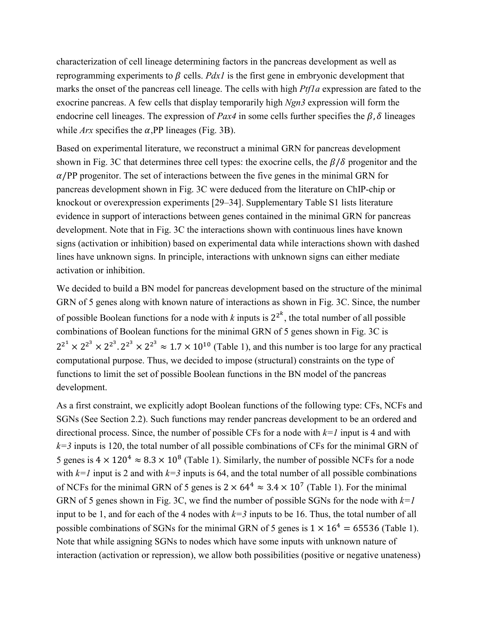characterization of cell lineage determining factors in the pancreas development as well as reprogramming experiments to  $\beta$  cells. *Pdx1* is the first gene in embryonic development that marks the onset of the pancreas cell lineage. The cells with high *Ptf1a* expression are fated to the exocrine pancreas. A few cells that display temporarily high *Ngn3* expression will form the endocrine cell lineages. The expression of *Pax4* in some cells further specifies the  $\beta$ ,  $\delta$  lineages while  $Arx$  specifies the  $\alpha$ , PP lineages (Fig. 3B).

Based on experimental literature, we reconstruct a minimal GRN for pancreas development shown in Fig. 3C that determines three cell types: the exocrine cells, the  $\beta/\delta$  progenitor and the  $\alpha$ /PP progenitor. The set of interactions between the five genes in the minimal GRN for pancreas development shown in Fig. 3C were deduced from the literature on ChIP-chip or knockout or overexpression experiments [29–34]. Supplementary Table S1 lists literature evidence in support of interactions between genes contained in the minimal GRN for pancreas development. Note that in Fig. 3C the interactions shown with continuous lines have known signs (activation or inhibition) based on experimental data while interactions shown with dashed lines have unknown signs. In principle, interactions with unknown signs can either mediate activation or inhibition.

We decided to build a BN model for pancreas development based on the structure of the minimal GRN of 5 genes along with known nature of interactions as shown in Fig. 3C. Since, the number of possible Boolean functions for a node with  $k$  inputs is  $2^{2^k}$ , the total number of all possible combinations of Boolean functions for the minimal GRN of 5 genes shown in Fig. 3C is  $2^{2^1} \times 2^{2^3} \times 2^{2^3} \times 2^{2^3} \approx 1.7 \times 10^{10}$  (Table 1), and this number is too large for any practical computational purpose. Thus, we decided to impose (structural) constraints on the type of functions to limit the set of possible Boolean functions in the BN model of the pancreas development.

As a first constraint, we explicitly adopt Boolean functions of the following type: CFs, NCFs and SGNs (See Section 2.2). Such functions may render pancreas development to be an ordered and directional process. Since, the number of possible CFs for a node with *k=1* input is 4 and with  $k=3$  inputs is 120, the total number of all possible combinations of CFs for the minimal GRN of 5 genes is  $4 \times 120^4 \approx 8.3 \times 10^8$  (Table 1). Similarly, the number of possible NCFs for a node with  $k=1$  input is 2 and with  $k=3$  inputs is 64, and the total number of all possible combinations of NCFs for the minimal GRN of 5 genes is  $2 \times 64^4 \approx 3.4 \times 10^7$  (Table 1). For the minimal GRN of 5 genes shown in Fig. 3C, we find the number of possible SGNs for the node with *k=1* input to be 1, and for each of the 4 nodes with  $k=3$  inputs to be 16. Thus, the total number of all possible combinations of SGNs for the minimal GRN of 5 genes is  $1 \times 16^4 = 65536$  (Table 1). Note that while assigning SGNs to nodes which have some inputs with unknown nature of interaction (activation or repression), we allow both possibilities (positive or negative unateness)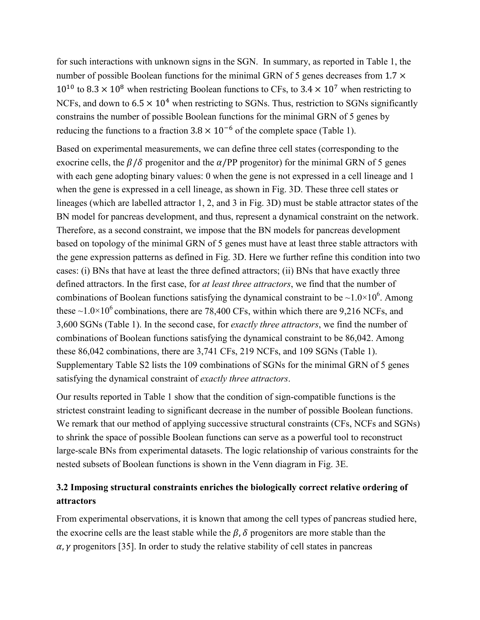for such interactions with unknown signs in the SGN. In summary, as reported in Table 1, the number of possible Boolean functions for the minimal GRN of 5 genes decreases from  $1.7 \times$  $10^{10}$  to 8.3  $\times$  10<sup>8</sup> when restricting Boolean functions to CFs, to 3.4  $\times$  10<sup>7</sup> when restricting to NCFs, and down to  $6.5 \times 10^4$  when restricting to SGNs. Thus, restriction to SGNs significantly constrains the number of possible Boolean functions for the minimal GRN of 5 genes by reducing the functions to a fraction  $3.8 \times 10^{-6}$  of the complete space (Table 1).

Based on experimental measurements, we can define three cell states (corresponding to the exocrine cells, the  $\beta/\delta$  progenitor and the  $\alpha$ /PP progenitor) for the minimal GRN of 5 genes with each gene adopting binary values: 0 when the gene is not expressed in a cell lineage and 1 when the gene is expressed in a cell lineage, as shown in Fig. 3D. These three cell states or lineages (which are labelled attractor 1, 2, and 3 in Fig. 3D) must be stable attractor states of the BN model for pancreas development, and thus, represent a dynamical constraint on the network. Therefore, as a second constraint, we impose that the BN models for pancreas development based on topology of the minimal GRN of 5 genes must have at least three stable attractors with the gene expression patterns as defined in Fig. 3D. Here we further refine this condition into two cases: (i) BNs that have at least the three defined attractors; (ii) BNs that have exactly three defined attractors. In the first case, for *at least three attractors*, we find that the number of combinations of Boolean functions satisfying the dynamical constraint to be  $\sim 1.0 \times 10^6$ . Among these  $\sim$ 1.0 $\times$ 10<sup>6</sup> combinations, there are 78,400 CFs, within which there are 9,216 NCFs, and 3,600 SGNs (Table 1). In the second case, for *exactly three attractors*, we find the number of combinations of Boolean functions satisfying the dynamical constraint to be 86,042. Among these 86,042 combinations, there are 3,741 CFs, 219 NCFs, and 109 SGNs (Table 1). Supplementary Table S2 lists the 109 combinations of SGNs for the minimal GRN of 5 genes satisfying the dynamical constraint of *exactly three attractors*.

Our results reported in Table 1 show that the condition of sign-compatible functions is the strictest constraint leading to significant decrease in the number of possible Boolean functions. We remark that our method of applying successive structural constraints (CFs, NCFs and SGNs) to shrink the space of possible Boolean functions can serve as a powerful tool to reconstruct large-scale BNs from experimental datasets. The logic relationship of various constraints for the nested subsets of Boolean functions is shown in the Venn diagram in Fig. 3E.

# **3.2 Imposing structural constraints enriches the biologically correct relative ordering of attractors**

From experimental observations, it is known that among the cell types of pancreas studied here, the exocrine cells are the least stable while the  $\beta$ ,  $\delta$  progenitors are more stable than the  $\alpha$ ,  $\gamma$  progenitors [35]. In order to study the relative stability of cell states in pancreas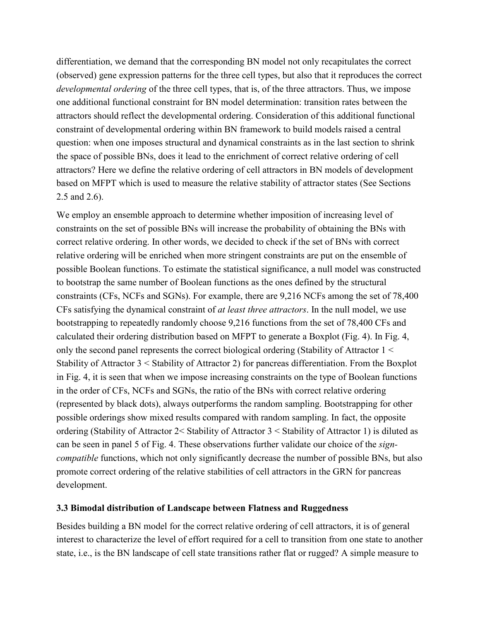differentiation, we demand that the corresponding BN model not only recapitulates the correct (observed) gene expression patterns for the three cell types, but also that it reproduces the correct *developmental ordering* of the three cell types, that is, of the three attractors. Thus, we impose one additional functional constraint for BN model determination: transition rates between the attractors should reflect the developmental ordering. Consideration of this additional functional constraint of developmental ordering within BN framework to build models raised a central question: when one imposes structural and dynamical constraints as in the last section to shrink the space of possible BNs, does it lead to the enrichment of correct relative ordering of cell attractors? Here we define the relative ordering of cell attractors in BN models of development based on MFPT which is used to measure the relative stability of attractor states (See Sections 2.5 and 2.6).

We employ an ensemble approach to determine whether imposition of increasing level of constraints on the set of possible BNs will increase the probability of obtaining the BNs with correct relative ordering. In other words, we decided to check if the set of BNs with correct relative ordering will be enriched when more stringent constraints are put on the ensemble of possible Boolean functions. To estimate the statistical significance, a null model was constructed to bootstrap the same number of Boolean functions as the ones defined by the structural constraints (CFs, NCFs and SGNs). For example, there are 9,216 NCFs among the set of 78,400 CFs satisfying the dynamical constraint of *at least three attractors*. In the null model, we use bootstrapping to repeatedly randomly choose 9,216 functions from the set of 78,400 CFs and calculated their ordering distribution based on MFPT to generate a Boxplot (Fig. 4). In Fig. 4, only the second panel represents the correct biological ordering (Stability of Attractor 1 < Stability of Attractor 3 < Stability of Attractor 2) for pancreas differentiation. From the Boxplot in Fig. 4, it is seen that when we impose increasing constraints on the type of Boolean functions in the order of CFs, NCFs and SGNs, the ratio of the BNs with correct relative ordering (represented by black dots), always outperforms the random sampling. Bootstrapping for other possible orderings show mixed results compared with random sampling. In fact, the opposite ordering (Stability of Attractor 2< Stability of Attractor 3 < Stability of Attractor 1) is diluted as can be seen in panel 5 of Fig. 4. These observations further validate our choice of the *signcompatible* functions, which not only significantly decrease the number of possible BNs, but also promote correct ordering of the relative stabilities of cell attractors in the GRN for pancreas development.

### **3.3 Bimodal distribution of Landscape between Flatness and Ruggedness**

Besides building a BN model for the correct relative ordering of cell attractors, it is of general interest to characterize the level of effort required for a cell to transition from one state to another state, i.e., is the BN landscape of cell state transitions rather flat or rugged? A simple measure to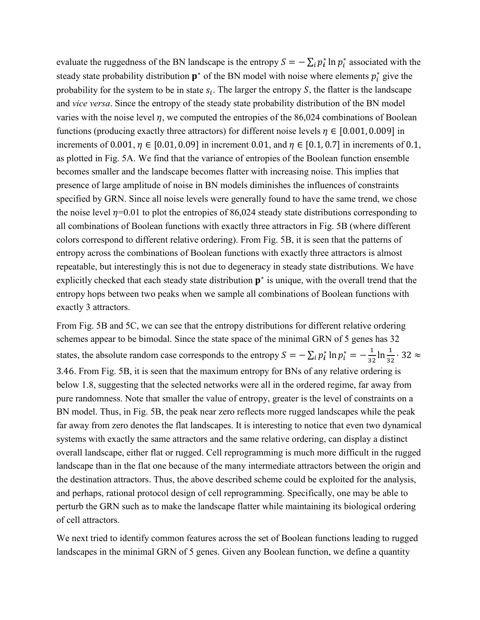evaluate the ruggedness of the BN landscape is the entropy  $S = -\sum_i p_i^* \ln p_i^*$  associated with the steady state probability distribution  $p^*$  of the BN model with noise where elements  $p_i^*$  give the probability for the system to be in state  $s_i$ . The larger the entropy S, the flatter is the landscape and *vice versa*. Since the entropy of the steady state probability distribution of the BN model varies with the noise level  $\eta$ , we computed the entropies of the 86,024 combinations of Boolean functions (producing exactly three attractors) for different noise levels  $\eta \in [0.001, 0.009]$  in increments of 0.001,  $\eta \in [0.01, 0.09]$  in increment 0.01, and  $\eta \in [0.1, 0.7]$  in increments of 0.1, as plotted in Fig. 5A. We find that the variance of entropies of the Boolean function ensemble becomes smaller and the landscape becomes flatter with increasing noise. This implies that presence of large amplitude of noise in BN models diminishes the influences of constraints specified by GRN. Since all noise levels were generally found to have the same trend, we chose the noise level  $\eta$ =0.01 to plot the entropies of 86,024 steady state distributions corresponding to all combinations of Boolean functions with exactly three attractors in Fig. 5B (where different colors correspond to different relative ordering). From Fig. 5B, it is seen that the patterns of entropy across the combinations of Boolean functions with exactly three attractors is almost repeatable, but interestingly this is not due to degeneracy in steady state distributions. We have explicitly checked that each steady state distribution  $p^*$  is unique, with the overall trend that the entropy hops between two peaks when we sample all combinations of Boolean functions with exactly 3 attractors.

From Fig. 5B and 5C, we can see that the entropy distributions for different relative ordering schemes appear to be bimodal. Since the state space of the minimal GRN of 5 genes has 32 states, the absolute random case corresponds to the entropy  $S = -\sum_i p_i^* \ln p_i^* = -\frac{1}{32} \ln \frac{1}{32} \cdot 32 \approx$ 3.46. From Fig. 5B, it is seen that the maximum entropy for BNs of any relative ordering is below 1.8, suggesting that the selected networks were all in the ordered regime, far away from pure randomness. Note that smaller the value of entropy, greater is the level of constraints on a BN model. Thus, in Fig. 5B, the peak near zero reflects more rugged landscapes while the peak far away from zero denotes the flat landscapes. It is interesting to notice that even two dynamical systems with exactly the same attractors and the same relative ordering, can display a distinct overall landscape, either flat or rugged. Cell reprogramming is much more difficult in the rugged landscape than in the flat one because of the many intermediate attractors between the origin and the destination attractors. Thus, the above described scheme could be exploited for the analysis, and perhaps, rational protocol design of cell reprogramming. Specifically, one may be able to perturb the GRN such as to make the landscape flatter while maintaining its biological ordering of cell attractors.

We next tried to identify common features across the set of Boolean functions leading to rugged landscapes in the minimal GRN of 5 genes. Given any Boolean function, we define a quantity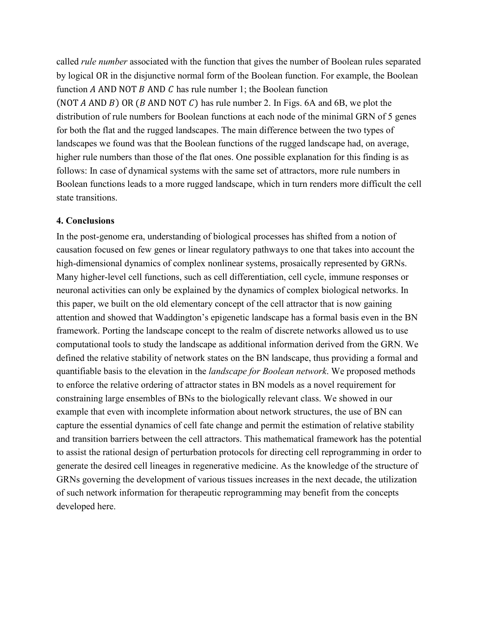called *rule number* associated with the function that gives the number of Boolean rules separated by logical OR in the disjunctive normal form of the Boolean function. For example, the Boolean function A AND NOT  $\overline{B}$  AND  $\overline{C}$  has rule number 1; the Boolean function (NOT  $A$  AND  $B$ ) OR ( $B$  AND NOT  $C$ ) has rule number 2. In Figs. 6A and 6B, we plot the distribution of rule numbers for Boolean functions at each node of the minimal GRN of 5 genes for both the flat and the rugged landscapes. The main difference between the two types of landscapes we found was that the Boolean functions of the rugged landscape had, on average, higher rule numbers than those of the flat ones. One possible explanation for this finding is as follows: In case of dynamical systems with the same set of attractors, more rule numbers in Boolean functions leads to a more rugged landscape, which in turn renders more difficult the cell state transitions.

### **4. Conclusions**

In the post-genome era, understanding of biological processes has shifted from a notion of causation focused on few genes or linear regulatory pathways to one that takes into account the high-dimensional dynamics of complex nonlinear systems, prosaically represented by GRNs. Many higher-level cell functions, such as cell differentiation, cell cycle, immune responses or neuronal activities can only be explained by the dynamics of complex biological networks. In this paper, we built on the old elementary concept of the cell attractor that is now gaining attention and showed that Waddington's epigenetic landscape has a formal basis even in the BN framework. Porting the landscape concept to the realm of discrete networks allowed us to use computational tools to study the landscape as additional information derived from the GRN. We defined the relative stability of network states on the BN landscape, thus providing a formal and quantifiable basis to the elevation in the *landscape for Boolean network*. We proposed methods to enforce the relative ordering of attractor states in BN models as a novel requirement for constraining large ensembles of BNs to the biologically relevant class. We showed in our example that even with incomplete information about network structures, the use of BN can capture the essential dynamics of cell fate change and permit the estimation of relative stability and transition barriers between the cell attractors. This mathematical framework has the potential to assist the rational design of perturbation protocols for directing cell reprogramming in order to generate the desired cell lineages in regenerative medicine. As the knowledge of the structure of GRNs governing the development of various tissues increases in the next decade, the utilization of such network information for therapeutic reprogramming may benefit from the concepts developed here.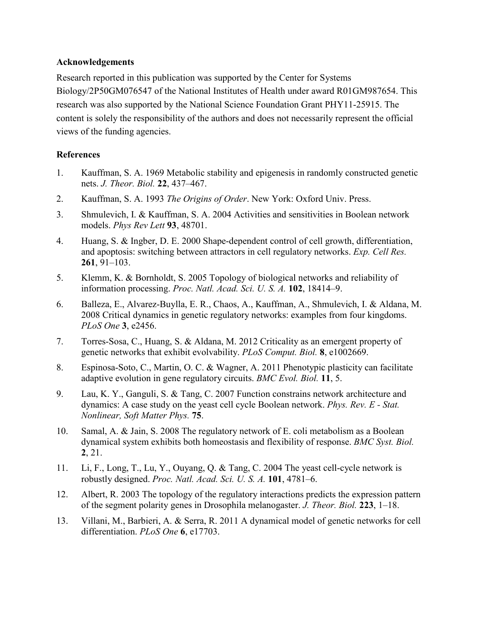### **Acknowledgements**

Research reported in this publication was supported by the Center for Systems Biology/2P50GM076547 of the National Institutes of Health under award R01GM987654. This research was also supported by the National Science Foundation Grant PHY11-25915. The content is solely the responsibility of the authors and does not necessarily represent the official views of the funding agencies.

## **References**

- 1. Kauffman, S. A. 1969 Metabolic stability and epigenesis in randomly constructed genetic nets. *J. Theor. Biol.* **22**, 437–467.
- 2. Kauffman, S. A. 1993 *The Origins of Order*. New York: Oxford Univ. Press.
- 3. Shmulevich, I. & Kauffman, S. A. 2004 Activities and sensitivities in Boolean network models. *Phys Rev Lett* **93**, 48701.
- 4. Huang, S. & Ingber, D. E. 2000 Shape-dependent control of cell growth, differentiation, and apoptosis: switching between attractors in cell regulatory networks. *Exp. Cell Res.* **261**, 91–103.
- 5. Klemm, K. & Bornholdt, S. 2005 Topology of biological networks and reliability of information processing. *Proc. Natl. Acad. Sci. U. S. A.* **102**, 18414–9.
- 6. Balleza, E., Alvarez-Buylla, E. R., Chaos, A., Kauffman, A., Shmulevich, I. & Aldana, M. 2008 Critical dynamics in genetic regulatory networks: examples from four kingdoms. *PLoS One* **3**, e2456.
- 7. Torres-Sosa, C., Huang, S. & Aldana, M. 2012 Criticality as an emergent property of genetic networks that exhibit evolvability. *PLoS Comput. Biol.* **8**, e1002669.
- 8. Espinosa-Soto, C., Martin, O. C. & Wagner, A. 2011 Phenotypic plasticity can facilitate adaptive evolution in gene regulatory circuits. *BMC Evol. Biol.* **11**, 5.
- 9. Lau, K. Y., Ganguli, S. & Tang, C. 2007 Function constrains network architecture and dynamics: A case study on the yeast cell cycle Boolean network. *Phys. Rev. E - Stat. Nonlinear, Soft Matter Phys.* **75**.
- 10. Samal, A. & Jain, S. 2008 The regulatory network of E. coli metabolism as a Boolean dynamical system exhibits both homeostasis and flexibility of response. *BMC Syst. Biol.* **2**, 21.
- 11. Li, F., Long, T., Lu, Y., Ouyang, Q. & Tang, C. 2004 The yeast cell-cycle network is robustly designed. *Proc. Natl. Acad. Sci. U. S. A.* **101**, 4781–6.
- 12. Albert, R. 2003 The topology of the regulatory interactions predicts the expression pattern of the segment polarity genes in Drosophila melanogaster. *J. Theor. Biol.* **223**, 1–18.
- 13. Villani, M., Barbieri, A. & Serra, R. 2011 A dynamical model of genetic networks for cell differentiation. *PLoS One* **6**, e17703.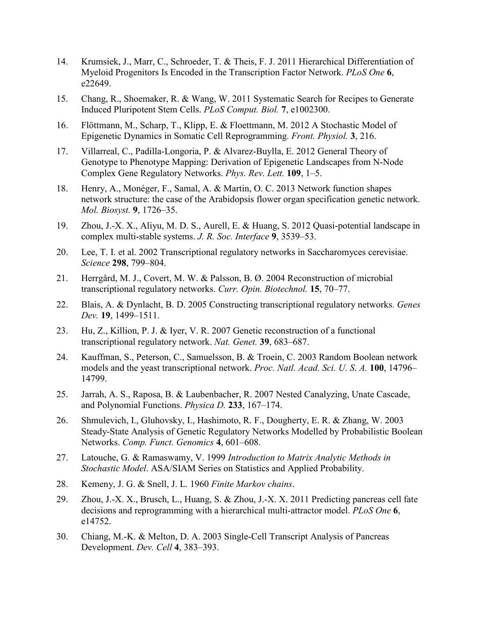- 14. Krumsiek, J., Marr, C., Schroeder, T. & Theis, F. J. 2011 Hierarchical Differentiation of Myeloid Progenitors Is Encoded in the Transcription Factor Network. *PLoS One* **6**, e22649.
- 15. Chang, R., Shoemaker, R. & Wang, W. 2011 Systematic Search for Recipes to Generate Induced Pluripotent Stem Cells. *PLoS Comput. Biol.* **7**, e1002300.
- 16. Flöttmann, M., Scharp, T., Klipp, E. & Floettmann, M. 2012 A Stochastic Model of Epigenetic Dynamics in Somatic Cell Reprogramming. *Front. Physiol.* **3**, 216.
- 17. Villarreal, C., Padilla-Longoria, P. & Alvarez-Buylla, E. 2012 General Theory of Genotype to Phenotype Mapping: Derivation of Epigenetic Landscapes from N-Node Complex Gene Regulatory Networks. *Phys. Rev. Lett.* **109**, 1–5.
- 18. Henry, A., Monéger, F., Samal, A. & Martin, O. C. 2013 Network function shapes network structure: the case of the Arabidopsis flower organ specification genetic network. *Mol. Biosyst.* **9**, 1726–35.
- 19. Zhou, J.-X. X., Aliyu, M. D. S., Aurell, E. & Huang, S. 2012 Quasi-potential landscape in complex multi-stable systems. *J. R. Soc. Interface* **9**, 3539–53.
- 20. Lee, T. I. et al. 2002 Transcriptional regulatory networks in Saccharomyces cerevisiae. *Science* **298**, 799–804.
- 21. Herrgård, M. J., Covert, M. W. & Palsson, B. Ø. 2004 Reconstruction of microbial transcriptional regulatory networks. *Curr. Opin. Biotechnol.* **15**, 70–77.
- 22. Blais, A. & Dynlacht, B. D. 2005 Constructing transcriptional regulatory networks. *Genes Dev.* **19**, 1499–1511.
- 23. Hu, Z., Killion, P. J. & Iyer, V. R. 2007 Genetic reconstruction of a functional transcriptional regulatory network. *Nat. Genet.* **39**, 683–687.
- 24. Kauffman, S., Peterson, C., Samuelsson, B. & Troein, C. 2003 Random Boolean network models and the yeast transcriptional network. *Proc. Natl. Acad. Sci. U. S. A.* **100**, 14796– 14799.
- 25. Jarrah, A. S., Raposa, B. & Laubenbacher, R. 2007 Nested Canalyzing, Unate Cascade, and Polynomial Functions. *Physica D.* **233**, 167–174.
- 26. Shmulevich, I., Gluhovsky, I., Hashimoto, R. F., Dougherty, E. R. & Zhang, W. 2003 Steady-State Analysis of Genetic Regulatory Networks Modelled by Probabilistic Boolean Networks. *Comp. Funct. Genomics* **4**, 601–608.
- 27. Latouche, G. & Ramaswamy, V. 1999 *Introduction to Matrix Analytic Methods in Stochastic Model*. ASA/SIAM Series on Statistics and Applied Probability.
- 28. Kemeny, J. G. & Snell, J. L. 1960 *Finite Markov chains*.
- 29. Zhou, J.-X. X., Brusch, L., Huang, S. & Zhou, J.-X. X. 2011 Predicting pancreas cell fate decisions and reprogramming with a hierarchical multi-attractor model. *PLoS One* **6**, e14752.
- 30. Chiang, M.-K. & Melton, D. A. 2003 Single-Cell Transcript Analysis of Pancreas Development. *Dev. Cell* **4**, 383–393.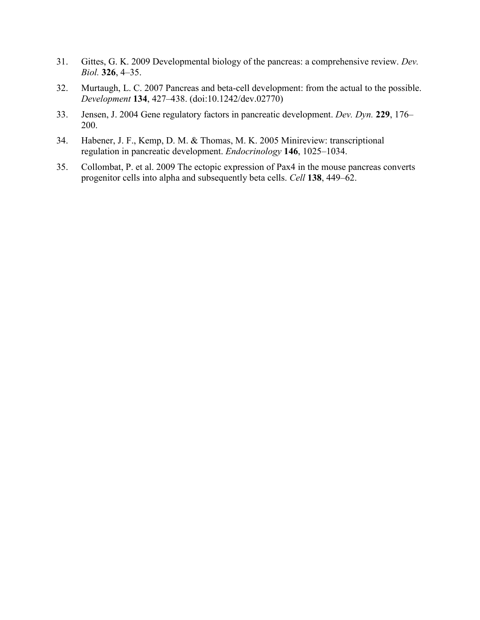- 31. Gittes, G. K. 2009 Developmental biology of the pancreas: a comprehensive review. *Dev. Biol.* **326**, 4–35.
- 32. Murtaugh, L. C. 2007 Pancreas and beta-cell development: from the actual to the possible. *Development* **134**, 427–438. (doi:10.1242/dev.02770)
- 33. Jensen, J. 2004 Gene regulatory factors in pancreatic development. *Dev. Dyn.* **229**, 176– 200.
- 34. Habener, J. F., Kemp, D. M. & Thomas, M. K. 2005 Minireview: transcriptional regulation in pancreatic development. *Endocrinology* **146**, 1025–1034.
- 35. Collombat, P. et al. 2009 The ectopic expression of Pax4 in the mouse pancreas converts progenitor cells into alpha and subsequently beta cells. *Cell* **138**, 449–62.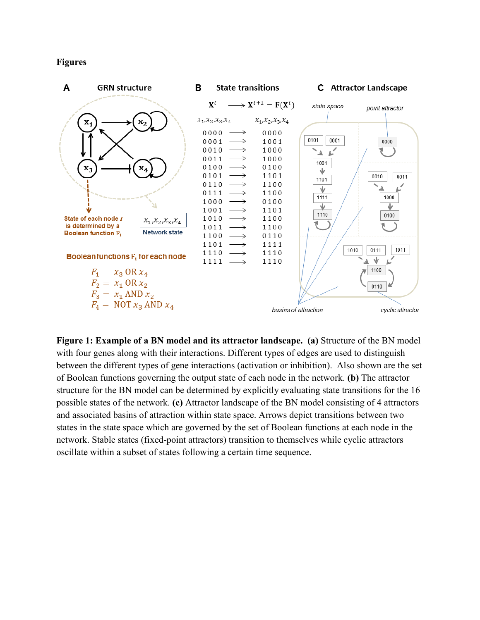#### **Figures**



**Figure 1: Example of a BN model and its attractor landscape. (a)** Structure of the BN model with four genes along with their interactions. Different types of edges are used to distinguish between the different types of gene interactions (activation or inhibition). Also shown are the set of Boolean functions governing the output state of each node in the network. **(b)** The attractor structure for the BN model can be determined by explicitly evaluating state transitions for the 16 possible states of the network. **(c)** Attractor landscape of the BN model consisting of 4 attractors and associated basins of attraction within state space. Arrows depict transitions between two states in the state space which are governed by the set of Boolean functions at each node in the network. Stable states (fixed-point attractors) transition to themselves while cyclic attractors oscillate within a subset of states following a certain time sequence.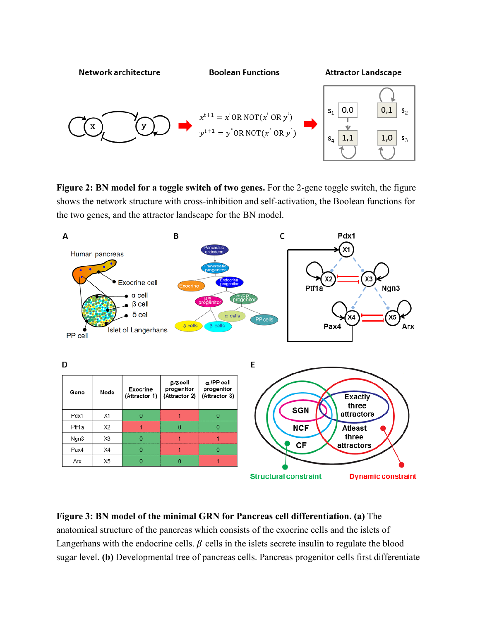

**Figure 2: BN model for a toggle switch of two genes.** For the 2-gene toggle switch, the figure shows the network structure with cross-inhibition and self-activation, the Boolean functions for the two genes, and the attractor landscape for the BN model.



**Figure 3: BN model of the minimal GRN for Pancreas cell differentiation. (a)** The anatomical structure of the pancreas which consists of the exocrine cells and the islets of Langerhans with the endocrine cells.  $\beta$  cells in the islets secrete insulin to regulate the blood sugar level. **(b)** Developmental tree of pancreas cells. Pancreas progenitor cells first differentiate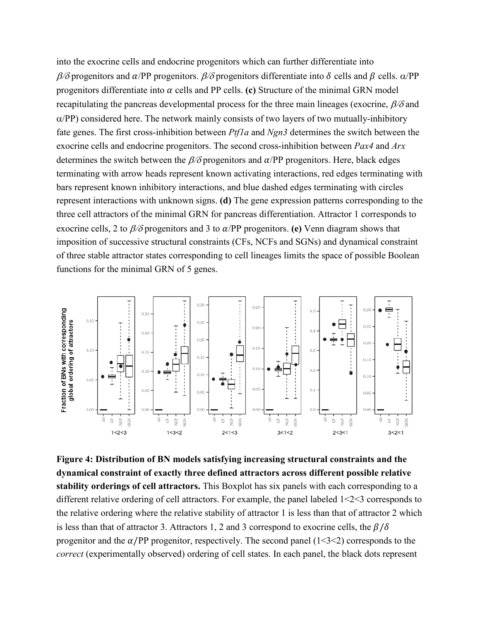into the exocrine cells and endocrine progenitors which can further differentiate into  $\beta$ /δ progenitors and  $\alpha$ /PP progenitors.  $\beta$ /δ progenitors differentiate into δ cells and β cells. α/PP progenitors differentiate into  $\alpha$  cells and PP cells. **(c)** Structure of the minimal GRN model recapitulating the pancreas developmental process for the three main lineages (exocrine,  $\beta/\delta$  and  $\alpha$ /PP) considered here. The network mainly consists of two layers of two mutually-inhibitory fate genes. The first cross-inhibition between *Ptf1a* and *Ngn3* determines the switch between the exocrine cells and endocrine progenitors. The second cross-inhibition between *Pax4* and *Arx* determines the switch between the  $\beta$ /δ progenitors and  $\alpha$ /PP progenitors. Here, black edges terminating with arrow heads represent known activating interactions, red edges terminating with bars represent known inhibitory interactions, and blue dashed edges terminating with circles represent interactions with unknown signs. **(d)** The gene expression patterns corresponding to the three cell attractors of the minimal GRN for pancreas differentiation. Attractor 1 corresponds to exocrine cells, 2 to  $\beta$ /δ progenitors and 3 to  $\alpha$ /PP progenitors. **(e)** Venn diagram shows that imposition of successive structural constraints (CFs, NCFs and SGNs) and dynamical constraint of three stable attractor states corresponding to cell lineages limits the space of possible Boolean functions for the minimal GRN of 5 genes.



**Figure 4: Distribution of BN models satisfying increasing structural constraints and the dynamical constraint of exactly three defined attractors across different possible relative stability orderings of cell attractors.** This Boxplot has six panels with each corresponding to a different relative ordering of cell attractors. For example, the panel labeled 1<2<3 corresponds to the relative ordering where the relative stability of attractor 1 is less than that of attractor 2 which is less than that of attractor 3. Attractors 1, 2 and 3 correspond to exocrine cells, the  $\beta/\delta$ progenitor and the  $\alpha$ /PP progenitor, respectively. The second panel (1<3<2) corresponds to the *correct* (experimentally observed) ordering of cell states. In each panel, the black dots represent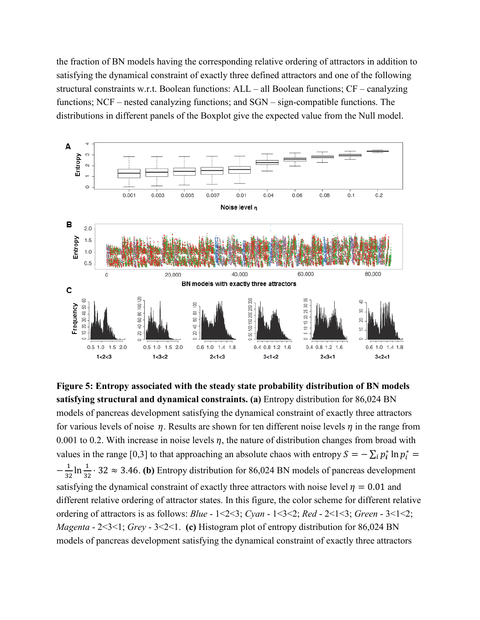the fraction of BN models having the corresponding relative ordering of attractors in addition to satisfying the dynamical constraint of exactly three defined attractors and one of the following structural constraints w.r.t. Boolean functions: ALL – all Boolean functions; CF – canalyzing functions; NCF – nested canalyzing functions; and SGN – sign-compatible functions. The distributions in different panels of the Boxplot give the expected value from the Null model.



**Figure 5: Entropy associated with the steady state probability distribution of BN models satisfying structural and dynamical constraints. (a)** Entropy distribution for 86,024 BN models of pancreas development satisfying the dynamical constraint of exactly three attractors for various levels of noise  $\eta$ . Results are shown for ten different noise levels  $\eta$  in the range from 0.001 to 0.2. With increase in noise levels  $\eta$ , the nature of distribution changes from broad with values in the range [0,3] to that approaching an absolute chaos with entropy  $S = -\sum_i p_i^* \ln p_i^* =$  $-\frac{1}{32}\ln\frac{1}{32} \cdot 32 \approx 3.46$ . **(b)** Entropy distribution for 86,024 BN models of pancreas development satisfying the dynamical constraint of exactly three attractors with noise level  $\eta = 0.01$  and different relative ordering of attractor states. In this figure, the color scheme for different relative ordering of attractors is as follows: *Blue* - 1<2<3; *Cyan* - 1<3<2; *Red* - 2<1<3; *Green* - 3<1<2; *Magenta* - 2<3<1; *Grey* - 3<2<1. **(c)** Histogram plot of entropy distribution for 86,024 BN models of pancreas development satisfying the dynamical constraint of exactly three attractors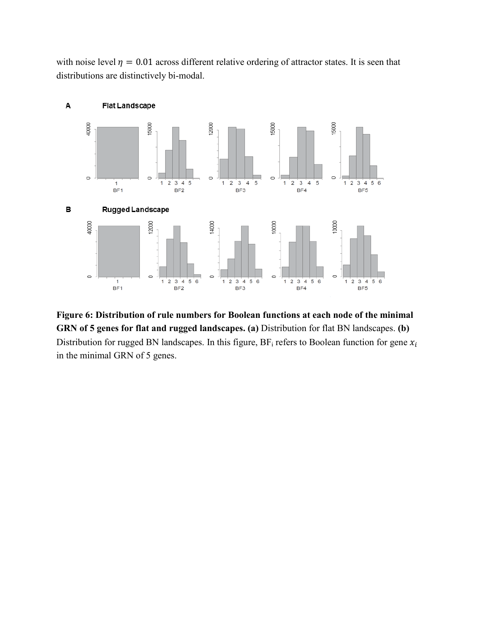with noise level  $\eta = 0.01$  across different relative ordering of attractor states. It is seen that distributions are distinctively bi-modal.